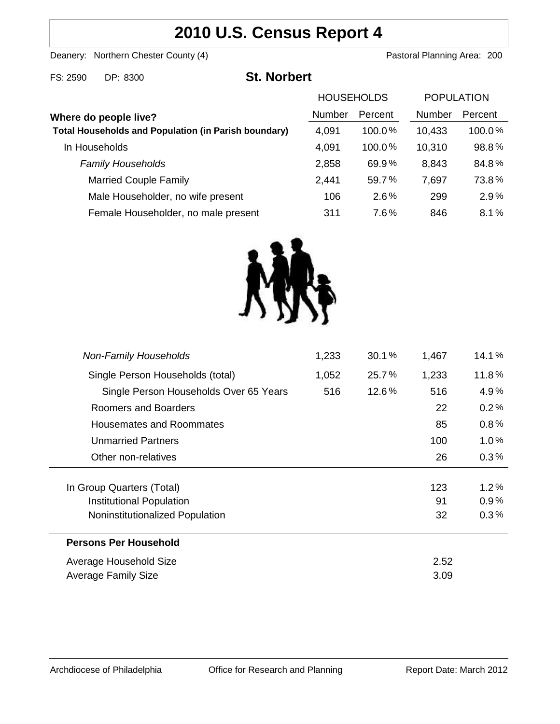# **2010 U.S. Census Report 4**

Deanery: Northern Chester County (4) Deanery: Northern Chester County (4)

FS: 2590 DP: 8300 **St. Norbert**

|                                                             | <b>HOUSEHOLDS</b> |           | <b>POPULATION</b> |           |
|-------------------------------------------------------------|-------------------|-----------|-------------------|-----------|
| Where do people live?                                       | <b>Number</b>     | Percent   | Number            | Percent   |
| <b>Total Households and Population (in Parish boundary)</b> | 4,091             | $100.0\%$ | 10,433            | $100.0\%$ |
| In Households                                               | 4,091             | 100.0%    | 10,310            | 98.8%     |
| <b>Family Households</b>                                    | 2,858             | 69.9%     | 8,843             | 84.8%     |
| <b>Married Couple Family</b>                                | 2,441             | 59.7%     | 7,697             | 73.8%     |
| Male Householder, no wife present                           | 106               | 2.6%      | 299               | 2.9%      |
| Female Householder, no male present                         | 311               | 7.6%      | 846               | 8.1%      |



| <b>Non-Family Households</b>           | 1,233 | 30.1% | 1,467 | 14.1%   |
|----------------------------------------|-------|-------|-------|---------|
| Single Person Households (total)       | 1,052 | 25.7% | 1,233 | 11.8%   |
| Single Person Households Over 65 Years | 516   | 12.6% | 516   | 4.9%    |
| Roomers and Boarders                   |       |       | 22    | 0.2%    |
| Housemates and Roommates               |       |       | 85    | $0.8\%$ |
| <b>Unmarried Partners</b>              |       |       | 100   | $1.0\%$ |
| Other non-relatives                    |       |       | 26    | 0.3%    |
|                                        |       |       |       |         |
| In Group Quarters (Total)              |       |       | 123   | $1.2\%$ |
| Institutional Population               |       |       | 91    | 0.9%    |
| Noninstitutionalized Population        |       |       | 32    | 0.3%    |
| <b>Persons Per Household</b>           |       |       |       |         |
| Average Household Size                 |       |       | 2.52  |         |
| Average Family Size                    |       |       | 3.09  |         |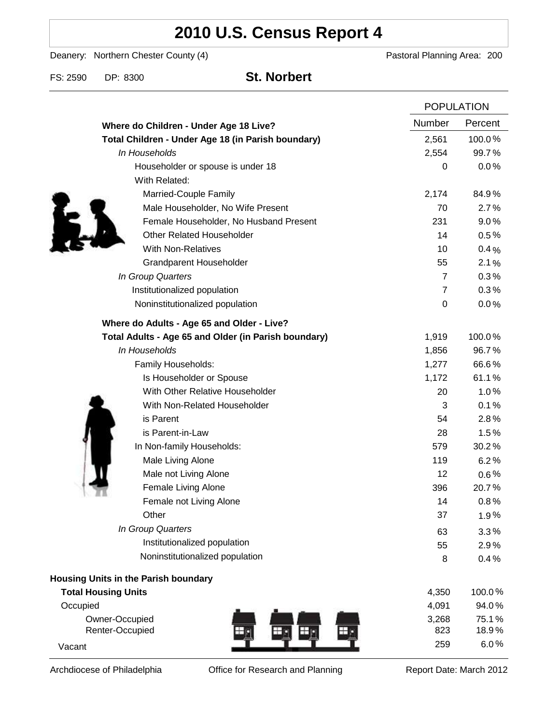# **2010 U.S. Census Report 4**

Deanery: Northern Chester County (4) Deanery: Northern Chester County (4)

FS: 2590 DP: 8300 **St. Norbert**

|                                                      |                | <b>POPULATION</b> |  |
|------------------------------------------------------|----------------|-------------------|--|
| Where do Children - Under Age 18 Live?               | Number         | Percent           |  |
| Total Children - Under Age 18 (in Parish boundary)   | 2,561          | 100.0%            |  |
| In Households                                        | 2,554          | 99.7%             |  |
| Householder or spouse is under 18                    | 0              | 0.0%              |  |
| With Related:                                        |                |                   |  |
| Married-Couple Family                                | 2,174          | 84.9%             |  |
| Male Householder, No Wife Present                    | 70             | 2.7%              |  |
| Female Householder, No Husband Present               | 231            | 9.0%              |  |
| <b>Other Related Householder</b>                     | 14             | 0.5%              |  |
| <b>With Non-Relatives</b>                            | 10             | 0.4%              |  |
| <b>Grandparent Householder</b>                       | 55             | 2.1%              |  |
| In Group Quarters                                    | $\overline{7}$ | 0.3%              |  |
| Institutionalized population                         | $\overline{7}$ | 0.3%              |  |
| Noninstitutionalized population                      | 0              | 0.0%              |  |
| Where do Adults - Age 65 and Older - Live?           |                |                   |  |
| Total Adults - Age 65 and Older (in Parish boundary) | 1,919          | 100.0%            |  |
| In Households                                        | 1,856          | 96.7%             |  |
| Family Households:                                   | 1,277          | 66.6%             |  |
| Is Householder or Spouse                             | 1,172          | 61.1%             |  |
| With Other Relative Householder                      | 20             | 1.0%              |  |
| With Non-Related Householder                         | 3              | 0.1%              |  |
| is Parent                                            | 54             | 2.8%              |  |
| is Parent-in-Law                                     | 28             | 1.5%              |  |
| In Non-family Households:                            | 579            | 30.2%             |  |
| Male Living Alone                                    | 119            | 6.2%              |  |
| Male not Living Alone                                | 12             | $0.6\%$           |  |
| Female Living Alone                                  | 396            | 20.7%             |  |
| Female not Living Alone                              | 14             | 0.8%              |  |
| Other                                                | 37             | 1.9%              |  |
| In Group Quarters                                    | 63             | 3.3%              |  |
| Institutionalized population                         | 55             | 2.9%              |  |
| Noninstitutionalized population                      | 8              | 0.4%              |  |
| <b>Housing Units in the Parish boundary</b>          |                |                   |  |
| <b>Total Housing Units</b>                           | 4,350          | 100.0%            |  |
| Occupied                                             | 4,091          | 94.0%             |  |
| Owner-Occupied                                       | 3,268          | 75.1%             |  |
| Renter-Occupied                                      | 823            | 18.9%             |  |
| Vacant                                               | 259            | $6.0\,\%$         |  |

Archdiocese of Philadelphia **Office for Research and Planning** Report Date: March 2012